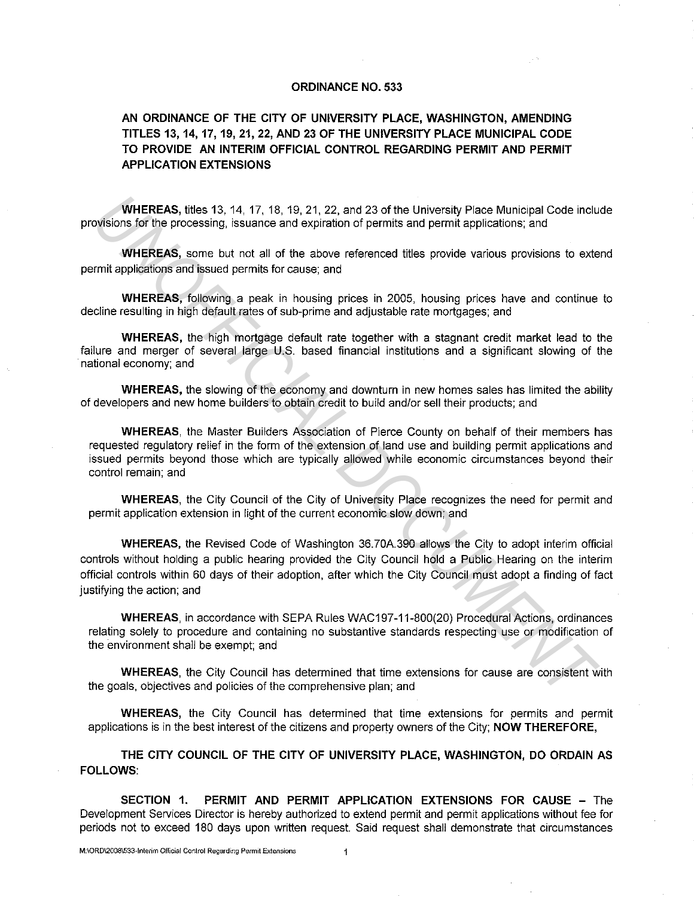## **ORDINANCE NO. 533**

## **AN ORDINANCE OF THE CITY OF UNIVERSITY PLACE, WASHINGTON, AMENDING TITLES 13, 14, 17, 19,** 21, **22, AND 23 OF THE UNIVERSITY PLACE MUNICIPAL CODE TO PROVIDE AN INTERIM OFFICIAL CONTROL REGARDING PERMIT AND PERMIT APPLICATION EXTENSIONS**

**WHEREAS,** titles 13, 14, 17, 18, 19, 21, 22, and 23 of the University Place Municipal Code include provisions for the processing, issuance and expiration of permits and permit applications; and

**WHEREAS,** some but not all of the above referenced titles provide various provisions to extend permit applications and issued permits for cause; and

**WHEREAS,** following a peak in housing prices in 2005, housing prices have and continue to decline resulting in high default rates of sub-prime and adjustable rate mortgages; and

**WHEREAS,** the high mortgage default rate together with a stagnant credit market lead to the failure and merger of several large U.S. based financial institutions and a significant slowing of the national economy; and

**WHEREAS,** the slowing of the economy and downturn in new homes sales has limited the ability of developers and new home builders to obtain credit to build and/or sell their products; and

**WHEREAS,** the Master Builders Association of Pierce County on behalf of their members has requested regulatory relief in the form of the extension of land use and building permit applications and issued permits beyond those which are typically allowed while economic circumstances beyond their control remain; and

**WHEREAS,** the City Council of the City of University Place recognizes the need for permit and permit application extension in light of the current economic slow down; and

**WHEREAS,** the Revised Code of Washington 36.70A.390 allows the City to adopt interim official controls without holding a public hearing provided the City Council hold a Public Hearing on the interim official controls within 60 days of their adoption, after which the City Council must adopt a finding of fact justifying the action; and **WHEREAS, thes 13, 14, 17, 18, 19, 21, 22, and 23 of the University Place Municipal Code inclusions for the processing, issuance and expiration of permits and permit applications; and<br>
<b>WHEREAS**, some tut not all of the ab

**WHEREAS,** in accordance with SEPA Rules WAC197-11-800(20) Procedural Actions, ordinances relating solely to procedure and containing no substantive standards respecting use or modification of the environment shall be exempt; and

**WHEREAS,** the City Council has determined that time extensions for cause are consistent with the goals, objectives and policies of the comprehensive plan; and

**WHEREAS,** the City Council has determined that time extensions for permits and permit applications is in the best interest of the citizens and property owners of the City; **NOW THEREFORE,** 

**THE CITY COUNCIL OF THE CITY OF UNIVERSITY PLACE, WASHINGTON, DO ORDAIN AS FOLLOWS:** 

**SECTION 1. PERMIT AND PERMIT APPLICATION EXTENSIONS FOR CAUSE** - The Development Services Director is hereby authorized to extend permit and permit applications without fee for periods not to exceed 180 days upon written request. Said request shall demonstrate that circumstances

 $\overline{1}$